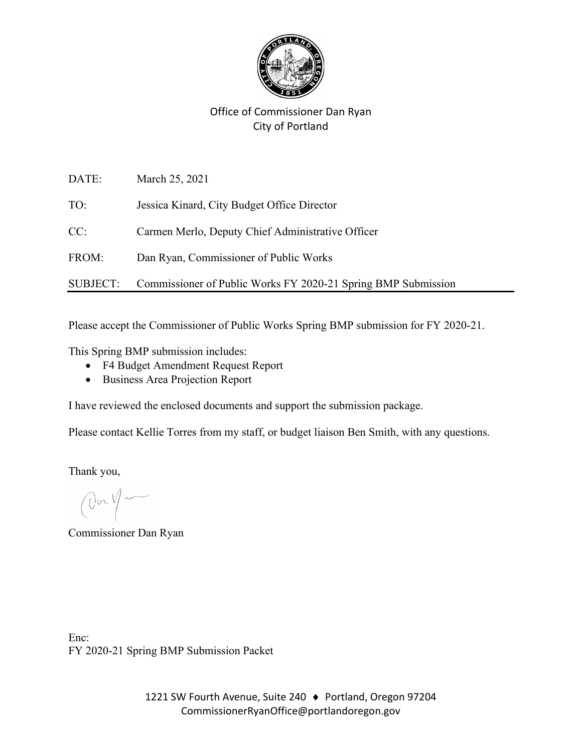

## Office of Commissioner Dan Ryan City of Portland

| DATE:           | March 25, 2021                                                |
|-----------------|---------------------------------------------------------------|
| TO:             | Jessica Kinard, City Budget Office Director                   |
| CC:             | Carmen Merlo, Deputy Chief Administrative Officer             |
| FROM:           | Dan Ryan, Commissioner of Public Works                        |
| <b>SUBJECT:</b> | Commissioner of Public Works FY 2020-21 Spring BMP Submission |

Please accept the Commissioner of Public Works Spring BMP submission for FY 2020-21.

This Spring BMP submission includes:

- F4 Budget Amendment Request Report
- Business Area Projection Report

I have reviewed the enclosed documents and support the submission package.

Please contact Kellie Torres from my staff, or budget liaison Ben Smith, with any questions.

Thank you,

On you

Commissioner Dan Ryan

Enc: FY 2020-21 Spring BMP Submission Packet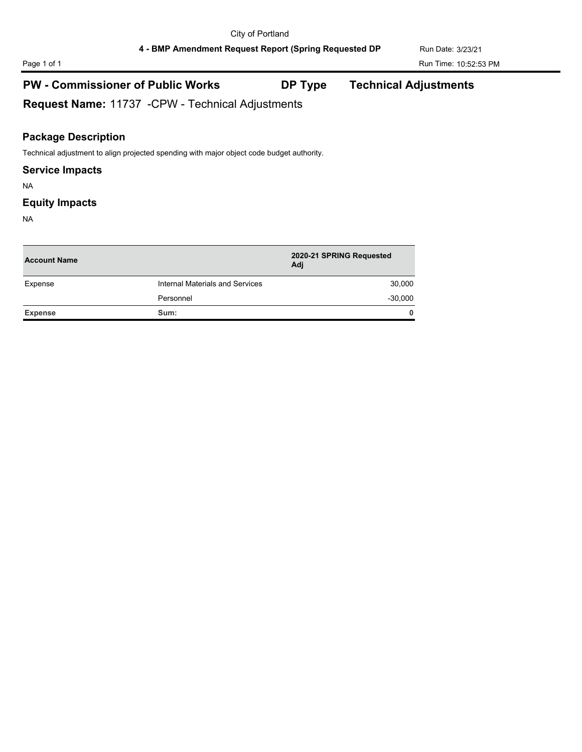# Page 1 of 1 Run Time: 10:52:53 PM

## **PW - Commissioner of Public Works DP Type Technical Adjustments**

**Request Name:** 11737 -CPW - Technical Adjustments

### **Package Description**

Technical adjustment to align projected spending with major object code budget authority.

#### **Service Impacts**

NA

#### **Equity Impacts**

NA

| <b>Account Name</b> |                                 | 2020-21 SPRING Requested<br>Adj |  |
|---------------------|---------------------------------|---------------------------------|--|
| Expense             | Internal Materials and Services | 30,000                          |  |
|                     | Personnel                       | $-30,000$                       |  |
| <b>Expense</b>      | Sum:                            | $\mathbf{0}$                    |  |
|                     |                                 |                                 |  |